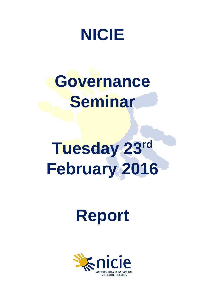

## **Governance Seminar**

# **Tuesday 23rd February 2016**

## **Report**

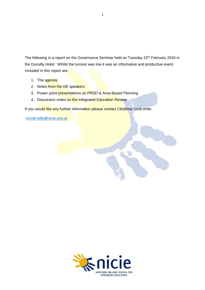The following is a report on the Governance Seminar held on Tuesday 23<sup>rd</sup> February 2016 in the Dunsilly Hotel. Whilst the turnout was low it was an informative and productive event. Included in this report are:

- 1. The agenda
- 2. Notes from the DE speakers
- 3. Power point presentations on PRSD & Area Based Planning
- 4. Discussion notes on the Integrated Education Review

If you would like any further information please contact Cliodhna Scott-Wills:

[cscott-wills@nicie.org.uk](mailto:cscott-wills@nicie.org.uk)

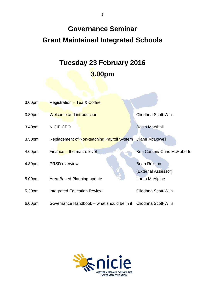### **Governance Seminar Grant Maintained Integrated Schools**

### **Tuesday 23 February 2016 3.00pm**

| 3.00 <sub>pm</sub> | <b>Registration - Tea &amp; Coffee</b>                          |                                             |
|--------------------|-----------------------------------------------------------------|---------------------------------------------|
| 3.30pm             | <b>Welcome and introduction</b>                                 | Cliodhna Scott-Wills                        |
| 3.40pm             | <b>NICIE CEO</b>                                                | <b>Rosin Marshall</b>                       |
| 3.50 <sub>pm</sub> | Replacement of Non-teaching Payroll System                      | Diane McDowell                              |
| 4.00pm             | Finance - the macro level                                       | Ken Carson/ Chris McRoberts                 |
| 4.30pm             | <b>PRSD</b> overview                                            | <b>Brian Rolston</b><br>(External Assessor) |
| 5.00pm             | Area Based Planning update                                      | Lorna McAlpine                              |
| 5.30pm             | <b>Integrated Education Review</b>                              | Cliodhna Scott-Wills                        |
| 6.00pm             | Governance Handbook – what should be in it Cliodhna Scott-Wills |                                             |

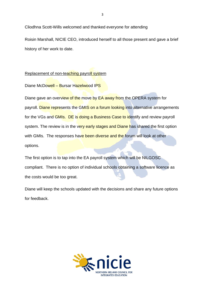Cliodhna Scott-Wills welcomed and thanked everyone for attending

Roisin Marshall, NICIE CEO, introduced herself to all those present and gave a brief history of her work to date.

#### Replacement of non-teaching payroll system

Diane McDowell – Bursar Hazelwood IPS

Diane gave an overview of the move by EA away from the OPERA system for payroll. Diane represents the GMIS on a forum looking into alternative arrangements for the VGs and GMIs. DE is doing a Business Case to identify and review payroll system. The review is in the very early stages and Diane has shared the first option with GMIs. The responses have been diverse and the forum will look at other options.

The first option is to tap into the EA payroll system which will be NILGOSC compliant. There is no option of individual schools obtaining a software licence as the costs would be too great.

Diane will keep the schools updated with the decisions and share any future options for feedback.

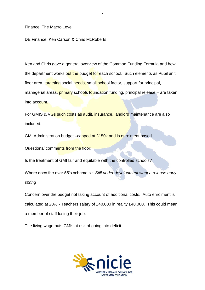#### Finance: The Macro Level

DE Finance: Ken Carson & Chris McRoberts

Ken and Chris gave a general overview of the Common Funding Formula and how the department works out the budget for each school. Such elements as Pupil unit, floor area, targeting social needs, small school factor, support for principal, managerial areas, primary schools foundation funding, principal release – are taken into account.

For GMIS & VGs such costs as audit, insurance, landlord maintenance are also included.

GMI Administration budget -capped at £150k and is enrolment based

Questions/ comments from the floor:

Is the treatment of GMI fair and equitable with the controlled schools?

Where does the over 55's scheme sit. *Still under development want a release early spring*

Concern over the budget not taking account of additional costs. Auto enrolment is calculated at 20% - Teachers salary of £40,000 in reality £48,000. This could mean a member of staff losing their job.

The living wage puts GMIs at risk of going into deficit

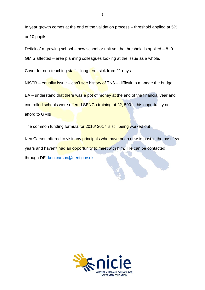In year growth comes at the end of the validation process – threshold applied at 5% or 10 pupils

Deficit of a growing school – new school or unit yet the threshold is applied  $-8-9$ 

GMIS affected – area planning colleagues looking at the issue as a whole.

Cover for non-teaching staff – long term sick from 21 days

NISTR – equality issue – can't see history of TN3 – difficult to manage the budget

EA – understand that there was a pot of money at the end of the financial year and controlled schools were offered SENCo training at £2, 500 – this opportunity not afford to GMIs

The common funding formula for 2016/ 2017 is still being worked out

Ken Carson offered to visit any principals who have been new to post in the past few years and haven't had an opportunity to meet with him. He can be contacted through DE: [ken.carson@deni.gov.uk](mailto:ken.carson@deni.gov.uk)

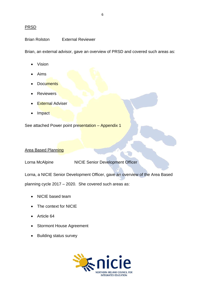#### PRSD

Brian Rolston External Reviewer

Brian, an external advisor, gave an overview of PRSD and covered such areas as:

- Vision
- Aims
- **Documents**
- **Reviewers**
- **External Adviser**
- **Impact**

See attached Power point presentation – Appendix 1

#### Area Based Planning

Lorna McAlpine NICIE Senior Development Officer

Lorna, a NICIE Senior Development Officer, gave an overview of the Area Based

planning cycle 2017 – 2020. She covered such areas as:

- NICIE based team
- The context for NICIE
- Article 64
- Stormont House Agreement
- Building status survey

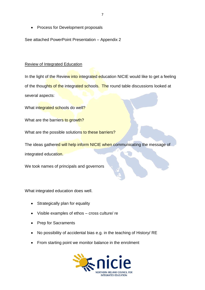• Process for Development proposals

See attached PowerPoint Presentation – Appendix 2

#### Review of Integrated Education

In the light of the Review into integrated education NICIE would like to get a feeling of the thoughts of the integrated schools. The round table discussions looked at several aspects:

What integrated schools do well?

What are the barriers to growth?

What are the possible solutions to these barriers?

The ideas gathered will help inform NICIE when communicating the message of integrated education.

We took names of principals and governors

What integrated education does well.

- Strategically plan for equality
- Visible examples of ethos cross culture/ re
- Prep for Sacraments
- No possibility of accidental bias e.g. in the teaching of History/ RE
- From starting point we monitor balance in the enrolment

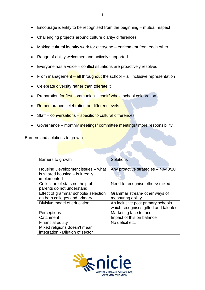- Encourage identity to be recognised from the beginning mutual respect
- Challenging projects around culture clarity/ differences
- Making cultural identity work for everyone enrichment from each other
- Range of ability welcomed and actively supported
- Everyone has a voice conflict situations are proactively resolved
- From management all throughout the school all inclusive representation
- Celebrate diversity rather than tolerate it
- Preparation for first communion choir/ whole school celebration
- Remembrance celebration on different levels
- Staff conversations specific to cultural differences
- Governance monthly meetings/ committee meetings/ more responsibility

Barriers and solutions to growth

| Barriers to growth                                                                     | <b>Solutions</b>                                                          |
|----------------------------------------------------------------------------------------|---------------------------------------------------------------------------|
| Housing Development issues – what<br>is shared housing $-$ is it really<br>implemented | Any proactive strategies - 40/40/20                                       |
| Collection of stats not helpful -<br>parents do not understand                         | Need to recognise others/ mixed                                           |
| Effect of grammar schools/ selection<br>on both colleges and primary                   | Grammar stream/ other ways of<br>measuring ability                        |
| Divisive model of education                                                            | An inclusive post primary schools<br>which recognises gifted and talented |
| Perceptions                                                                            | Marketing face to face                                                    |
| Catchment                                                                              | Impact of this on balance                                                 |
| <b>Financial equity</b>                                                                | No deficit etc.                                                           |
| Mixed religions doesn't mean<br>integration - Dilution of sector                       |                                                                           |